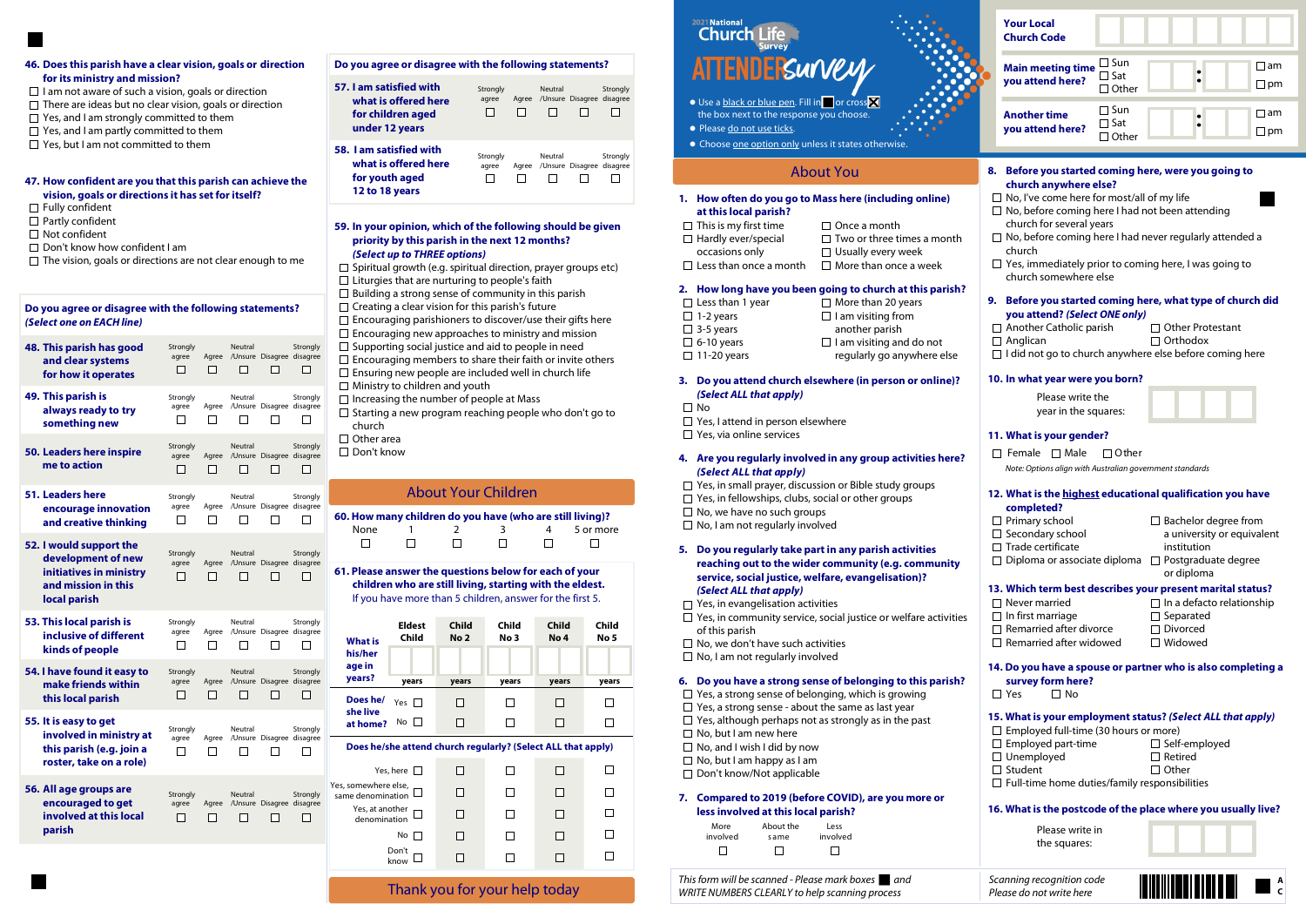### 59. In your opinion, which of the following should be given priority by this parish in the next 12 months? (Select up to THREE options)

 $\Box$  Spiritual growth (e.g. spiritual direction, prayer groups etc)  $\Box$  Liturgies that are nurturing to people's faith  $\Box$  Building a strong sense of community in this parish  $\Box$  Creating a clear vision for this parish's future  $\square$  Encouraging parishioners to discover/use their gifts here  $\square$  Encouraging new approaches to ministry and mission  $\square$  Supporting social justice and aid to people in need  $\square$  Encouraging members to share their faith or invite others  $\square$  Ensuring new people are included well in church life  $\Box$  Ministry to children and youth  $\Box$  Increasing the number of people at Mass  $\Box$  Starting a new program reaching people who don't go to church □ Other area

□ Don't know

### 4. Are you regularly involved in any group activities here? (Select ALL that apply)

- $\Box$  Yes, in small prayer, discussion or Bible study groups
- $\Box$  Yes, in fellowships, clubs, social or other groups
- $\Box$  No, we have no such groups
- $\Box$  No, I am not regularly involved

#### 6. Do you have a strong sense of belonging to this parish?

- $\Box$  Yes, a strong sense of belonging, which is growing
- $\Box$  Yes, a strong sense about the same as last year
- $\Box$  Yes, although perhaps not as strongly as in the past
- $\Box$  No, but I am new here
- $\Box$  No, and I wish I did by now
- $\Box$  No, but I am happy as I am
- □ Don't know/Not applicable

### 1. How often do you go to Mass here (including online) at this local parish?

| $\Box$ This is my first time  | $\Box$ Once a month               |
|-------------------------------|-----------------------------------|
| $\Box$ Hardly ever/special    | $\Box$ Two or three times a month |
| occasions only                | $\Box$ Usually every week         |
| $\Box$ Less than once a month | $\Box$ More than once a week      |

#### 2. How long have you been going to church at this parish?

| $\Box$ Less than 1 year | $\Box$ More than 20 years       |
|-------------------------|---------------------------------|
| $\Box$ 1-2 years        | $\Box$ I am visiting from       |
| $\Box$ 3-5 years        | another parish                  |
| $\Box$ 6-10 years       | $\Box$ I am visiting and do not |
| $\Box$ 11-20 years      | regularly go anywhere else      |
|                         |                                 |

### 5. Do you regularly take part in any parish activities reaching out to the wider community (e.g. community service, social justice, welfare, evangelisation)? (Select ALL that apply)

- $\Box$  Yes, in evangelisation activities
- $\Box$  Yes, in community service, social justice or welfare activities of this parish
- $\Box$  No, we don't have such activities
- $\Box$  No, I am not regularly involved

# Thank you for your help today

# 2021 National **Church**

- $\bullet$  Use a black or blue pen. Fill in  $\Box$  or cross  $\boxtimes$ the box next to the response you choose.
- Please do not use ticks.
- Choose one option only unless it states otherwise.

|          | <b>Your Local</b><br><b>Church Code</b>                                                                                                                                                                                                                                                                                                                                                                                                                                                                                                                                                                                                          |                                                |                                                        |                                                                                         |                    |
|----------|--------------------------------------------------------------------------------------------------------------------------------------------------------------------------------------------------------------------------------------------------------------------------------------------------------------------------------------------------------------------------------------------------------------------------------------------------------------------------------------------------------------------------------------------------------------------------------------------------------------------------------------------------|------------------------------------------------|--------------------------------------------------------|-----------------------------------------------------------------------------------------|--------------------|
|          | <b>Main meeting time</b><br>you attend here?                                                                                                                                                                                                                                                                                                                                                                                                                                                                                                                                                                                                     | $\square$ Sun<br>$\exists$ Sat<br>$\Box$ Other |                                                        |                                                                                         | am<br>$\square$ pm |
|          | <b>Another time</b><br>you attend here?                                                                                                                                                                                                                                                                                                                                                                                                                                                                                                                                                                                                          | $\Box$ Sun<br>$\Box$ Sat<br>$\Box$ Other       |                                                        |                                                                                         | ⊺am<br>$\sqcup$ pm |
| 8.<br>9. | Before you started coming here, were you going to<br>church anywhere else?<br>$\Box$ No, I've come here for most/all of my life<br>$\Box$ No, before coming here I had not been attending<br>church for several years<br>$\Box$ No, before coming here I had never regularly attended a<br>church<br>$\Box$ Yes, immediately prior to coming here, I was going to<br>church somewhere else<br>Before you started coming here, what type of church did<br>you attend? (Select ONE only)<br>$\Box$ Another Catholic parish<br>$\Box$ Anglican<br>$\Box$ I did not go to church anywhere else before coming here<br>10. In what year were you born? |                                                | $\Box$ Orthodox                                        | $\Box$ Other Protestant                                                                 |                    |
|          | Please write the<br>year in the squares:                                                                                                                                                                                                                                                                                                                                                                                                                                                                                                                                                                                                         |                                                |                                                        |                                                                                         |                    |
|          | 11. What is your gender?<br>$\Box$ Male<br>Female<br>$\Box$<br>Note: Options align with Australian government standards<br>12. What is the highest educational qualification you have                                                                                                                                                                                                                                                                                                                                                                                                                                                            | $\Box$ Other                                   |                                                        |                                                                                         |                    |
|          | completed?<br>$\Box$ Primary school<br>$\Box$ Secondary school<br>$\Box$ Trade certificate<br>□ Diploma or associate diploma                                                                                                                                                                                                                                                                                                                                                                                                                                                                                                                     |                                                | institution<br>or diploma                              | $\Box$ Bachelor degree from<br>a university or equivalent<br>$\Box$ Postgraduate degree |                    |
|          | 13. Which term best describes your present marital status?<br>$\Box$ Never married<br>$\Box$ In first marriage<br>$\Box$ Remarried after divorce<br>$\Box$ Remarried after widowed                                                                                                                                                                                                                                                                                                                                                                                                                                                               |                                                | $\Box$ Separated<br>$\Box$ Divorced<br>$\Box$ Widowed  | $\Box$ In a defacto relationship                                                        |                    |
|          | 14. Do you have a spouse or partner who is also completing a<br>survey form here?<br>$\Box$ Yes<br>Π No                                                                                                                                                                                                                                                                                                                                                                                                                                                                                                                                          |                                                |                                                        |                                                                                         |                    |
|          | 15. What is your employment status? (Select ALL that apply)<br>$\Box$ Employed full-time (30 hours or more)<br>$\Box$ Employed part-time<br>$\Box$ Unemployed<br>$\Box$ Student<br>$\Box$ Full-time home duties/family responsibilities                                                                                                                                                                                                                                                                                                                                                                                                          |                                                | $\Box$ Self-employed<br>$\Box$ Retired<br>$\Box$ Other |                                                                                         |                    |
|          | 16. What is the postcode of the place where you usually live?<br>Please write in                                                                                                                                                                                                                                                                                                                                                                                                                                                                                                                                                                 |                                                |                                                        |                                                                                         |                    |
|          |                                                                                                                                                                                                                                                                                                                                                                                                                                                                                                                                                                                                                                                  |                                                |                                                        |                                                                                         |                    |

the squares:

#### 3. Do you attend church elsewhere (in person or online)? (Select ALL that apply)

- $\square$  No
- $\Box$  Yes, I attend in person elsewhere
- $\Box$  Yes, via online services

### 7. Compared to 2019 (before COVID), are you more or less involved at this local parish?

| More     | About the | Less     |
|----------|-----------|----------|
| involved | same      | involved |
|          |           |          |

This form will be scanned - Please mark boxes  $\Box$  and  $\Box$  Scanning recognition code WRITE NUMBERS CLEARLY to help scanning process Please do not write here



### About You

### Do you agree or disagree with the following statements? (Select one on EACH line)

| 48. This parish has good<br>and clear systems<br>for how it operates                                            | Strongly<br>agree                 | Agree<br>ΙI           | <b>Neutral</b> | /Unsure Disagree disagree                 | Strongly |
|-----------------------------------------------------------------------------------------------------------------|-----------------------------------|-----------------------|----------------|-------------------------------------------|----------|
| 49. This parish is<br>always ready to try<br>something new                                                      | Strongly<br>agree<br>$\mathsf{L}$ | Agree<br>$\mathsf{L}$ | Neutral        | /Unsure Disagree disagree<br>$\mathsf{L}$ | Strongly |
| <b>50. Leaders here inspire</b><br>me to action                                                                 | Strongly<br>agree<br>ΙI           | Agree<br>ΙI           | <b>Neutral</b> | /Unsure Disagree disagree<br>$\Box$       | Strongly |
| 51. Leaders here<br>encourage innovation<br>and creative thinking                                               | Strongly<br>agree                 | Agree                 | Neutral        | /Unsure Disagree disagree                 | Strongly |
| 52. I would support the<br>development of new<br>initiatives in ministry<br>and mission in this<br>local parish | Strongly<br>agree                 | Agree                 | Neutral        | /Unsure Disagree disagree                 | Strongly |
| 53. This local parish is<br>inclusive of different<br>kinds of people                                           | Strongly<br>agree<br>$\mathsf{L}$ | Agree<br>$\perp$      | Neutral        | /Unsure Disagree disagree                 | Strongly |
| 54. I have found it easy to<br>make friends within<br>this local parish                                         | Strongly<br>agree<br>ΙI           | Agree<br>ΙI           | <b>Neutral</b> | /Unsure Disagree disagree                 | Strongly |
| 55. It is easy to get<br>involved in ministry at<br>this parish (e.g. join a<br>roster, take on a role)         | Strongly<br>agree<br>П            | Agree                 | Neutral        | /Unsure Disagree disagree                 | Strongly |
| 56. All age groups are<br>encouraged to get<br>involved at this local<br>parish                                 | Strongly<br>agree<br>$\mathbf{I}$ | Agree                 | <b>Neutral</b> | /Unsure Disagree disagree                 | Strongly |
|                                                                                                                 |                                   |                       |                |                                           |          |

| 57. I am satisfied with<br>what is offered here<br>for children aged<br>under 12 years | Strongly<br>agree | Aaree | Neutral | /Unsure Disagree disagree | Strongly |
|----------------------------------------------------------------------------------------|-------------------|-------|---------|---------------------------|----------|
| 58. I am satisfied with<br>what is offered here<br>for youth aged<br>12 to 18 years    | Strongly<br>agree | Aaree | Neutral | /Unsure Disagree disagree | Strongly |

#### 47. How confident are you that this parish can achieve the vision, goals or directions it has set for itself?

- $\Box$  Fully confident
- $\Box$  Partly confident
- $\Box$  Not confident
- □ Don't know how confident I am
- $\Box$  The vision, goals or directions are not clear enough to me

61. Please answer the questions below for each of your children who are still living, starting with the eldest. If you have more than 5 children, answer for the first 5.

| Does he/she attend church regularly? (Select ALL that apply) |  |  |  |  |  |
|--------------------------------------------------------------|--|--|--|--|--|
| Yes, here $\Box$                                             |  |  |  |  |  |
| Yes, somewhere else,<br>same denomination                    |  |  |  |  |  |
| Yes, at another $\Box$<br>denomination $\Box$                |  |  |  |  |  |
| No $\sqsubset$                                               |  |  |  |  |  |
| Don't<br>know                                                |  |  |  |  |  |
|                                                              |  |  |  |  |  |

| <b>What is</b><br>his/her<br>age in | <b>Eldest</b><br><b>Child</b> | <b>Child</b><br>No 2 | <b>Child</b><br>No <sub>3</sub> | <b>Child</b><br>No <sub>4</sub> | <b>Child</b><br>No <sub>5</sub> |
|-------------------------------------|-------------------------------|----------------------|---------------------------------|---------------------------------|---------------------------------|
| years?                              | years                         | years                | years                           | years                           | years                           |
| Does he/<br>she live                | Yes $\Box$                    | H                    | $\mathbf{C}$                    | ΙI                              |                                 |
| at home?                            | $No$ $  $                     | H                    | ΙI                              | ΙI                              |                                 |

| 60. How many children do you have (who are still living)? |                |         |         |                |           |
|-----------------------------------------------------------|----------------|---------|---------|----------------|-----------|
| None                                                      |                |         | - 3     | 4              | 5 or more |
| $\perp$                                                   | $\blacksquare$ | $\perp$ | $\perp$ | $\blacksquare$ | $\perp$   |

## About Your Children

#### 46. Does this parish have a clear vision, goals or direction for its ministry and mission?

- $\Box$  I am not aware of such a vision, goals or direction
- $\Box$  There are ideas but no clear vision, goals or direction
- $\Box$  Yes, and I am strongly committed to them
- $\Box$  Yes, and I am partly committed to them
- $\Box$  Yes, but I am not committed to them

### Do you agree or disagree with the following statements?